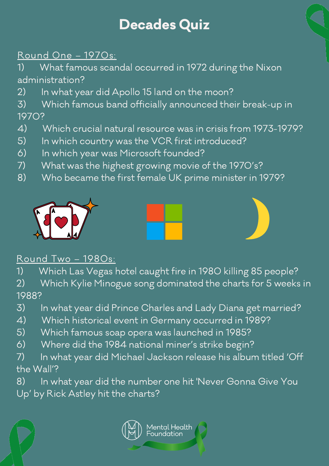## Round One – 1970s:

1) What famous scandal occurred in 1972 during the Nixon administration?

- 2) In what year did Apollo 15 land on the moon?
- 3) Which famous band officially announced their break-up in 1970?
- 4) Which crucial natural resource was in crisis from 1973-1979?
- 5) In which country was the VCR first introduced?
- 6) In which year was Microsoft founded?
- 7) What was the highest growing movie of the 1970's?
- 8) Who became the first female UK prime minister in 1979?







#### Round Two – 1980s:

1) Which Las Vegas hotel caught fire in 1980 killing 85 people? 2) Which Kylie Minogue song dominated the charts for 5 weeks in 1988?

- 3) In what year did Prince Charles and Lady Diana get married?
- 4) Which historical event in Germany occurred in 1989?
- 5) Which famous soap opera was launched in 1985?
- 6) Where did the 1984 national miner's strike begin?
- 7) In what year did Michael Jackson release his album titled 'Off the Wall'?
- 8) In what year did the number one hit 'Never Gonna Give You Up' by Rick Astley hit the charts?





# Decades Quiz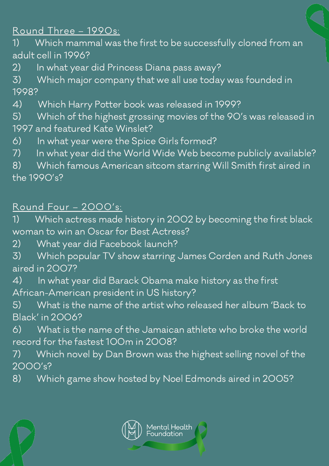# Round Three – 1990s:

1) Which mammal was the first to be successfully cloned from an adult cell in 1996?

- 2) In what year did Princess Diana pass away?
- 3) Which major company that we all use today was founded in 1998?
- 4) Which Harry Potter book was released in 1999?
- 5) Which of the highest grossing movies of the 90's was released in 1997 and featured Kate Winslet?
- 6) In what year were the Spice Girls formed?
- 7) In what year did the World Wide Web become publicly available?

8) Which famous American sitcom starring Will Smith first aired in the 1990's?

### Round Four – 2000's:

1) Which actress made history in 2002 by becoming the first black woman to win an Oscar for Best Actress?

2) What year did Facebook launch?

3) Which popular TV show starring James Corden and Ruth Jones aired in 2007?

4) In what year did Barack Obama make history as the first African-American president in US history?

5) What is the name of the artist who released her album 'Back to Black' in 2006?

6) What is the name of the Jamaican athlete who broke the world record for the fastest 100m in 2008?

7) Which novel by Dan Brown was the highest selling novel of the 2000's?

8) Which game show hosted by Noel Edmonds aired in 2005?